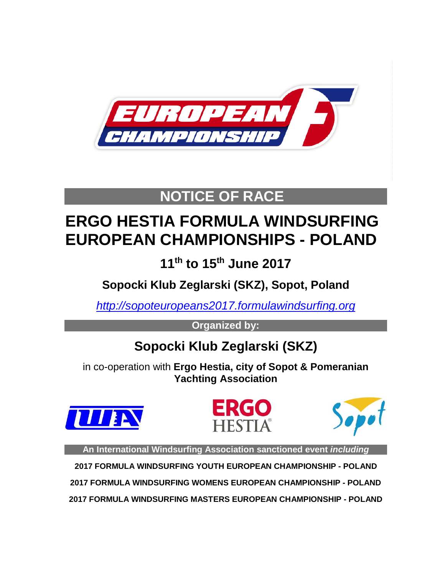

## **NOTICE OF RACE**

# **ERGO HESTIA FORMULA WINDSURFING EUROPEAN CHAMPIONSHIPS - POLAND**

**11th to 15th June 2017**

**Sopocki Klub Zeglarski (SKZ), Sopot, Poland**

*[http://sopoteuropeans2017.formulawindsurfing.org](http://sopoteuropeans2017.formulawindsurfing.org/)*

**Organized by:**

## **Sopocki Klub Zeglarski (SKZ)**

in co-operation with **Ergo Hestia, city of Sopot & Pomeranian Yachting Association**







**An International Windsurfing Association sanctioned event** *including*

**2017 FORMULA WINDSURFING YOUTH EUROPEAN CHAMPIONSHIP - POLAND 2017 FORMULA WINDSURFING WOMENS EUROPEAN CHAMPIONSHIP - POLAND**

**2017 FORMULA WINDSURFING MASTERS EUROPEAN CHAMPIONSHIP - POLAND**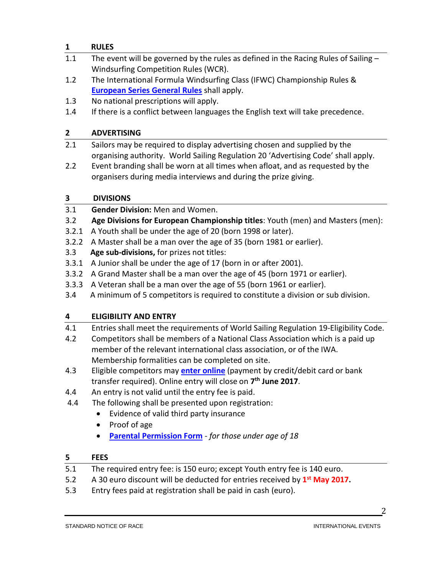## **1 RULES**

- 1.1 The event will be governed by the rules as defined in the Racing Rules of Sailing -Windsurfing Competition Rules (WCR).
- 1.2 The International Formula Windsurfing Class (IFWC) Championship Rules & **[European Series General Rules](http://internationalwindsurfing.com/userfiles/documents/FWEC_General_Rules.pdf)** shall apply.
- 1.3 No national prescriptions will apply.
- 1.4 If there is a conflict between languages the English text will take precedence.

### **2 ADVERTISING**

- 2.1 Sailors may be required to display advertising chosen and supplied by the organising authority. World Sailing Regulation 20 'Advertising Code' shall apply.
- 2.2 Event branding shall be worn at all times when afloat, and as requested by the organisers during media interviews and during the prize giving.

## **3 DIVISIONS**

- 3.1 **Gender Division:** Men and Women.
- 3.2 **Age Divisions for European Championship titles**: Youth (men) and Masters (men):
- 3.2.1 A Youth shall be under the age of 20 (born 1998 or later).
- 3.2.2 A Master shall be a man over the age of 35 (born 1981 or earlier).
- 3.3 **Age sub-divisions,** for prizes not titles:
- 3.3.1 A Junior shall be under the age of 17 (born in or after 2001).
- 3.3.2 A Grand Master shall be a man over the age of 45 (born 1971 or earlier).
- 3.3.3 A Veteran shall be a man over the age of 55 (born 1961 or earlier).
- 3.4 A minimum of 5 competitors is required to constitute a division or sub division.

## **4 ELIGIBILITY AND ENTRY**

- 4.1 Entries shall meet the requirements of World Sailing Regulation 19-Eligibility Code.
- 4.2 Competitors shall be members of a National Class Association which is a paid up member of the relevant international class association, or of the IWA. Membership formalities can be completed on site.
- 4.3 Eligible competitors may **enter [online](https://registration.internationalwindsurfing.com/en/events/register/id/101)** (payment by credit/debit card or bank transfer required). Online entry will close on **7th June 2017**.
- 4.4 An entry is not valid until the entry fee is paid.
- 4.4 The following shall be presented upon registration:
	- Evidence of valid third party insurance
	- Proof of age
	- **[Parental Permission Form](http://internationalwindsurfing.com/userfiles/documents/Parental_Permission_Form_FW_EUR_POL_17.pdf)** *for those under age of 18*

#### **5 FEES**

- 5.1 The required entry fee: is 150 euro; except Youth entry fee is 140 euro.
- 5.2 A 30 euro discount will be deducted for entries received by **1st May 2017.**
- 5.3 Entry fees paid at registration shall be paid in cash (euro).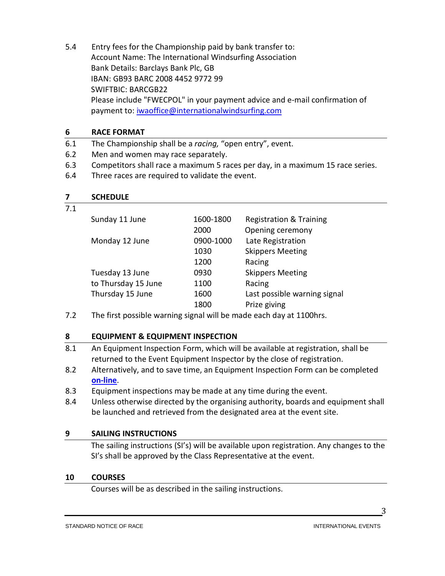5.4 Entry fees for the Championship paid by bank transfer to: Account Name: The International Windsurfing Association Bank Details: Barclays Bank Plc, GB IBAN: GB93 BARC 2008 4452 9772 99 SWIFTBIC: BARCGB22 Please include "FWECPOL" in your payment advice and e-mail confirmation of payment to: [iwaoffice@internationalwindsurfing.com](mailto:iwaoffice@internationalwindsurfing.com)

## **6 RACE FORMAT**

- 6.1 The Championship shall be a *racing,* "open entry", event.
- 6.2 Men and women may race separately.
- 6.3 Competitors shall race a maximum 5 races per day, in a maximum 15 race series.
- 6.4 Three races are required to validate the event.

| <b>SCHEDULE</b> |
|-----------------|
|-----------------|

#### 7.1

| Sunday 11 June      | 1600-1800 | <b>Registration &amp; Training</b> |
|---------------------|-----------|------------------------------------|
|                     | 2000      | Opening ceremony                   |
| Monday 12 June      | 0900-1000 | Late Registration                  |
|                     | 1030      | <b>Skippers Meeting</b>            |
|                     | 1200      | Racing                             |
| Tuesday 13 June     | 0930      | <b>Skippers Meeting</b>            |
| to Thursday 15 June | 1100      | Racing                             |
| Thursday 15 June    | 1600      | Last possible warning signal       |
|                     | 1800      | Prize giving                       |
|                     |           |                                    |

7.2 The first possible warning signal will be made each day at 1100hrs.

## **8 EQUIPMENT & EQUIPMENT INSPECTION**

- 8.1 An Equipment Inspection Form, which will be available at registration, shall be returned to the Event Equipment Inspector by the close of registration.
- 8.2 Alternatively, and to save time, an Equipment Inspection Form can be completed **[on-line](https://form.jotform.com/51723077194962)**.
- 8.3 Equipment inspections may be made at any time during the event.
- 8.4 Unless otherwise directed by the organising authority, boards and equipment shall be launched and retrieved from the designated area at the event site.

## **9 SAILING INSTRUCTIONS**

The sailing instructions (SI's) will be available upon registration. Any changes to the SI's shall be approved by the Class Representative at the event.

## **10 COURSES**

Courses will be as described in the sailing instructions.

3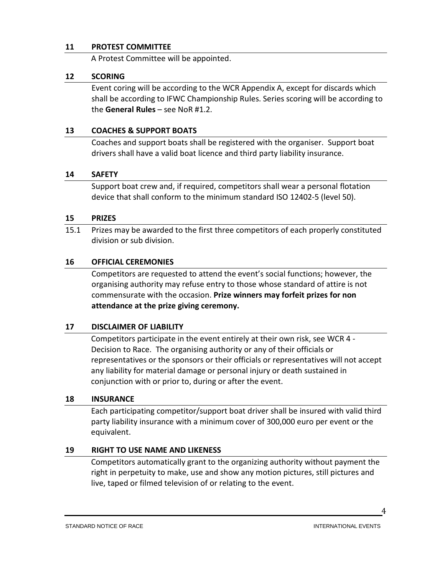#### **11 PROTEST COMMITTEE**

A Protest Committee will be appointed.

#### **12 SCORING**

Event coring will be according to the WCR Appendix A, except for discards which shall be according to IFWC Championship Rules. Series scoring will be according to the **General Rules** – see NoR #1.2.

#### **13 COACHES & SUPPORT BOATS**

Coaches and support boats shall be registered with the organiser. Support boat drivers shall have a valid boat licence and third party liability insurance.

#### **14 SAFETY**

Support boat crew and, if required, competitors shall wear a personal flotation device that shall conform to the minimum standard ISO 12402-5 (level 50).

#### **15 PRIZES**

15.1 Prizes may be awarded to the first three competitors of each properly constituted division or sub division.

#### **16 OFFICIAL CEREMONIES**

Competitors are requested to attend the event's social functions; however, the organising authority may refuse entry to those whose standard of attire is not commensurate with the occasion. **Prize winners may forfeit prizes for non attendance at the prize giving ceremony.**

#### **17 DISCLAIMER OF LIABILITY**

Competitors participate in the event entirely at their own risk, see WCR 4 - Decision to Race. The organising authority or any of their officials or representatives or the sponsors or their officials or representatives will not accept any liability for material damage or personal injury or death sustained in conjunction with or prior to, during or after the event.

#### **18 INSURANCE**

Each participating competitor/support boat driver shall be insured with valid third party liability insurance with a minimum cover of 300,000 euro per event or the equivalent.

#### **19 RIGHT TO USE NAME AND LIKENESS**

Competitors automatically grant to the organizing authority without payment the right in perpetuity to make, use and show any motion pictures, still pictures and live, taped or filmed television of or relating to the event.

4